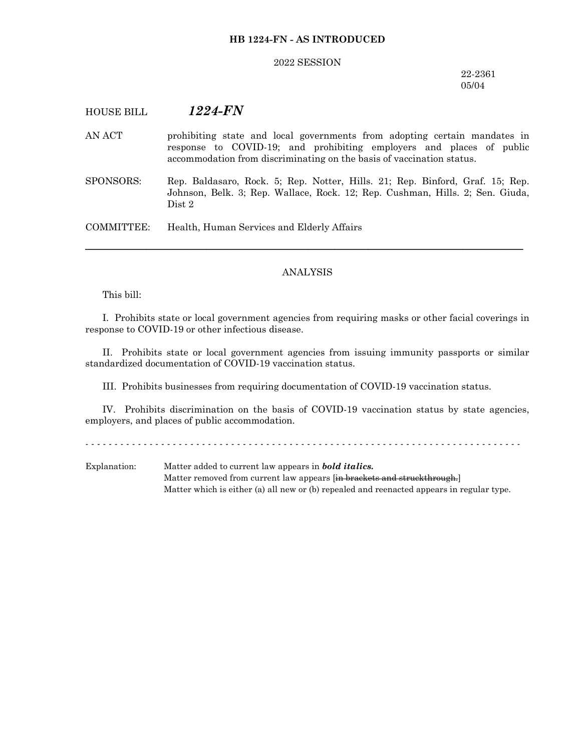## **HB 1224-FN - AS INTRODUCED**

#### 2022 SESSION

## 22-2361 05/04

# HOUSE BILL *1224-FN*

- AN ACT prohibiting state and local governments from adopting certain mandates in response to COVID-19; and prohibiting employers and places of public accommodation from discriminating on the basis of vaccination status.
- SPONSORS: Rep. Baldasaro, Rock. 5; Rep. Notter, Hills. 21; Rep. Binford, Graf. 15; Rep. Johnson, Belk. 3; Rep. Wallace, Rock. 12; Rep. Cushman, Hills. 2; Sen. Giuda, Dist 2

COMMITTEE: Health, Human Services and Elderly Affairs

## ANALYSIS

─────────────────────────────────────────────────────────────────

This bill:

I. Prohibits state or local government agencies from requiring masks or other facial coverings in response to COVID-19 or other infectious disease.

II. Prohibits state or local government agencies from issuing immunity passports or similar standardized documentation of COVID-19 vaccination status.

III. Prohibits businesses from requiring documentation of COVID-19 vaccination status.

IV. Prohibits discrimination on the basis of COVID-19 vaccination status by state agencies, employers, and places of public accommodation.

- - - - - - - - - - - - - - - - - - - - - - - - - - - - - - - - - - - - - - - - - - - - - - - - - - - - - - - - - - - - - - - - - - - - - - - - - - -

Explanation: Matter added to current law appears in *bold italics.* Matter removed from current law appears [in brackets and struckthrough.] Matter which is either (a) all new or (b) repealed and reenacted appears in regular type.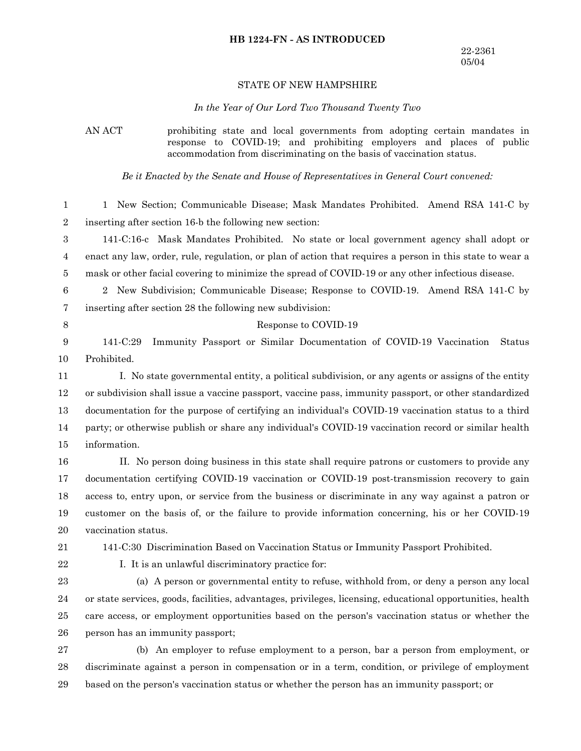# **HB 1224-FN - AS INTRODUCED**

### STATE OF NEW HAMPSHIRE

#### *In the Year of Our Lord Two Thousand Twenty Two*

AN ACT prohibiting state and local governments from adopting certain mandates in response to COVID-19; and prohibiting employers and places of public accommodation from discriminating on the basis of vaccination status.

*Be it Enacted by the Senate and House of Representatives in General Court convened:*

1 New Section; Communicable Disease; Mask Mandates Prohibited. Amend RSA 141-C by inserting after section 16-b the following new section: 1 2

141-C:16-c Mask Mandates Prohibited. No state or local government agency shall adopt or enact any law, order, rule, regulation, or plan of action that requires a person in this state to wear a mask or other facial covering to minimize the spread of COVID-19 or any other infectious disease. 3 4 5

2 New Subdivision; Communicable Disease; Response to COVID-19. Amend RSA 141-C by inserting after section 28 the following new subdivision: 6 7

8

141-C:29 Immunity Passport or Similar Documentation of COVID-19 Vaccination Status Prohibited. 9 10

Response to COVID-19

I. No state governmental entity, a political subdivision, or any agents or assigns of the entity or subdivision shall issue a vaccine passport, vaccine pass, immunity passport, or other standardized documentation for the purpose of certifying an individual's COVID-19 vaccination status to a third party; or otherwise publish or share any individual's COVID-19 vaccination record or similar health information. 11 12 13 14 15

II. No person doing business in this state shall require patrons or customers to provide any documentation certifying COVID-19 vaccination or COVID-19 post-transmission recovery to gain access to, entry upon, or service from the business or discriminate in any way against a patron or customer on the basis of, or the failure to provide information concerning, his or her COVID-19 vaccination status. 16 17 18 19 20

- 21
- 22

141-C:30 Discrimination Based on Vaccination Status or Immunity Passport Prohibited.

I. It is an unlawful discriminatory practice for:

(a) A person or governmental entity to refuse, withhold from, or deny a person any local or state services, goods, facilities, advantages, privileges, licensing, educational opportunities, health care access, or employment opportunities based on the person's vaccination status or whether the person has an immunity passport; 23 24 25 26

(b) An employer to refuse employment to a person, bar a person from employment, or discriminate against a person in compensation or in a term, condition, or privilege of employment based on the person's vaccination status or whether the person has an immunity passport; or 27 28 29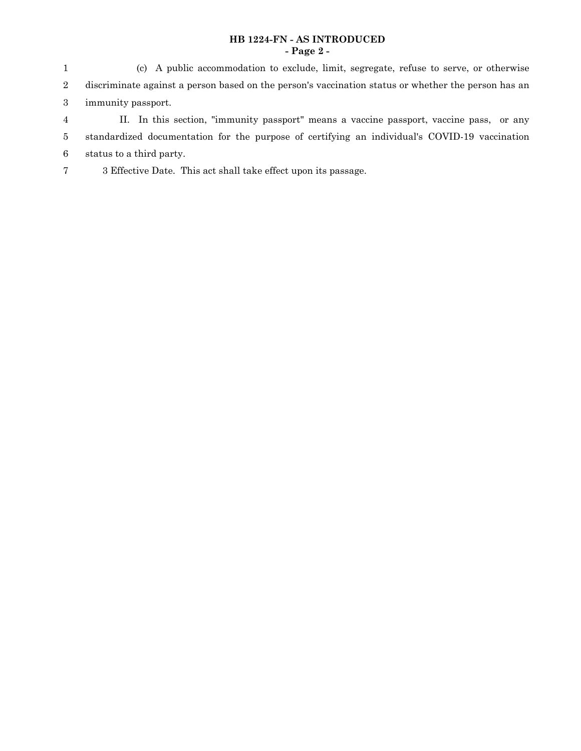# **HB 1224-FN - AS INTRODUCED - Page 2 -**

(c) A public accommodation to exclude, limit, segregate, refuse to serve, or otherwise discriminate against a person based on the person's vaccination status or whether the person has an immunity passport. 1 2 3

- II. In this section, "immunity passport" means a vaccine passport, vaccine pass, or any standardized documentation for the purpose of certifying an individual's COVID-19 vaccination status to a third party. 4 5 6
- 3 Effective Date. This act shall take effect upon its passage. 7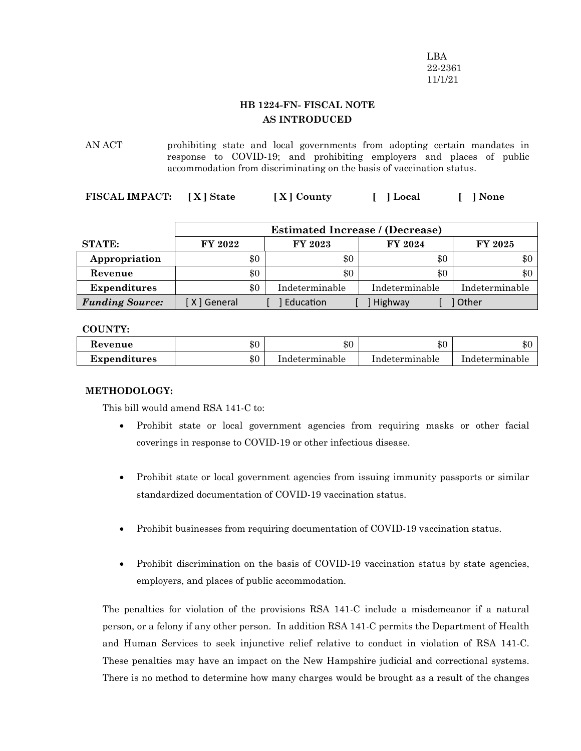LBA 22-2361 11/1/21

# **HB 1224-FN- FISCAL NOTE AS INTRODUCED**

AN ACT prohibiting state and local governments from adopting certain mandates in response to COVID-19; and prohibiting employers and places of public accommodation from discriminating on the basis of vaccination status.

**FISCAL IMPACT: [ X ] State [ X ] County [ ] Local [ ] None**

|                        | <b>Estimated Increase / (Decrease)</b> |  |                |                |                |
|------------------------|----------------------------------------|--|----------------|----------------|----------------|
| <b>STATE:</b>          | FY 2022                                |  | FY 2023        | FY 2024        | <b>FY 2025</b> |
| Appropriation          | \$0                                    |  | \$0            | \$0            | \$0            |
| Revenue                | \$0                                    |  | $\$0$          | \$0            | $\$0$          |
| <b>Expenditures</b>    | \$0                                    |  | Indeterminable | Indeterminable | Indeterminable |
| <b>Funding Source:</b> | X General                              |  | Education      | Highway        | Other          |

# **COUNTY:**

| Kevenue             | ሱሶ<br>DU. | ሱ ሰ<br>ক্য     | ሱ ሰ<br>ক্ত     | \$0            |
|---------------------|-----------|----------------|----------------|----------------|
| <b>Expenditures</b> | $\$0$     | Indeterminable | Indeterminable | Indeterminable |

# **METHODOLOGY:**

This bill would amend RSA 141-C to:

- · Prohibit state or local government agencies from requiring masks or other facial coverings in response to COVID-19 or other infectious disease.
- Prohibit state or local government agencies from issuing immunity passports or similar standardized documentation of COVID-19 vaccination status.
- Prohibit businesses from requiring documentation of COVID-19 vaccination status.
- Prohibit discrimination on the basis of COVID-19 vaccination status by state agencies, employers, and places of public accommodation.

The penalties for violation of the provisions RSA 141-C include a misdemeanor if a natural person, or a felony if any other person. In addition RSA 141-C permits the Department of Health and Human Services to seek injunctive relief relative to conduct in violation of RSA 141-C. These penalties may have an impact on the New Hampshire judicial and correctional systems. There is no method to determine how many charges would be brought as a result of the changes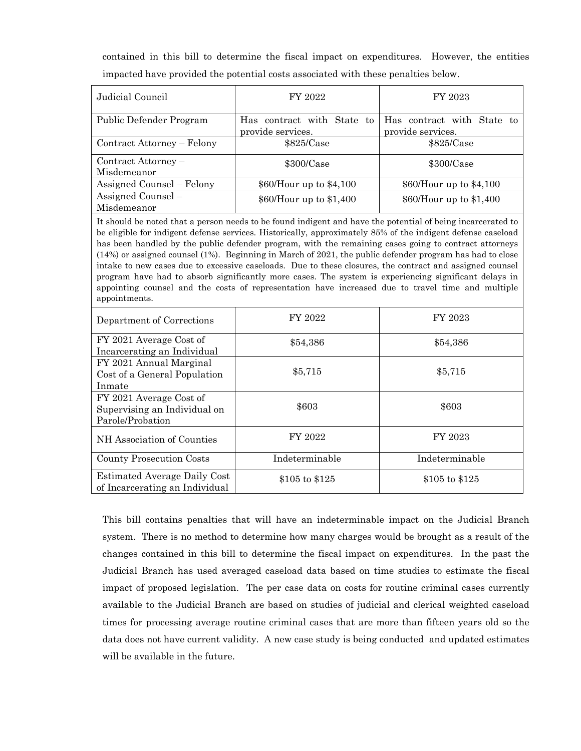contained in this bill to determine the fiscal impact on expenditures. However, the entities impacted have provided the potential costs associated with these penalties below.

| Judicial Council                   | FY 2022                                         | FY 2023                                         |  |
|------------------------------------|-------------------------------------------------|-------------------------------------------------|--|
| Public Defender Program            | Has contract with State to<br>provide services. | Has contract with State to<br>provide services. |  |
| Contract Attorney – Felony         | \$825/Case                                      | \$825/Case                                      |  |
| Contract Attorney -<br>Misdemeanor | $$300/C$ ase                                    | $$300/C$ ase                                    |  |
| Assigned Counsel – Felony          | $$60/H$ our up to $$4,100$                      | $$60/H$ our up to $$4,100$                      |  |
| Assigned Counsel -<br>Misdemeanor  | \$60/Hour up to \$1,400                         | \$60/Hour up to \$1,400                         |  |

It should be noted that a person needs to be found indigent and have the potential of being incarcerated to be eligible for indigent defense services. Historically, approximately 85% of the indigent defense caseload has been handled by the public defender program, with the remaining cases going to contract attorneys (14%) or assigned counsel (1%). Beginning in March of 2021, the public defender program has had to close intake to new cases due to excessive caseloads. Due to these closures, the contract and assigned counsel program have had to absorb significantly more cases. The system is experiencing significant delays in appointing counsel and the costs of representation have increased due to travel time and multiple appointments.

| Department of Corrections                                                   | FY 2022        | FY 2023        |  |
|-----------------------------------------------------------------------------|----------------|----------------|--|
| FY 2021 Average Cost of<br>Incarcerating an Individual                      | \$54,386       | \$54,386       |  |
| FY 2021 Annual Marginal<br>Cost of a General Population<br>Inmate           | \$5,715        | \$5,715        |  |
| FY 2021 Average Cost of<br>Supervising an Individual on<br>Parole/Probation | \$603          | \$603          |  |
| NH Association of Counties                                                  | FY 2022        | FY 2023        |  |
| County Prosecution Costs                                                    | Indeterminable | Indeterminable |  |
| Estimated Average Daily Cost<br>of Incarcerating an Individual              | \$105 to \$125 | \$105 to \$125 |  |

This bill contains penalties that will have an indeterminable impact on the Judicial Branch system. There is no method to determine how many charges would be brought as a result of the changes contained in this bill to determine the fiscal impact on expenditures. In the past the Judicial Branch has used averaged caseload data based on time studies to estimate the fiscal impact of proposed legislation. The per case data on costs for routine criminal cases currently available to the Judicial Branch are based on studies of judicial and clerical weighted caseload times for processing average routine criminal cases that are more than fifteen years old so the data does not have current validity. A new case study is being conducted and updated estimates will be available in the future.